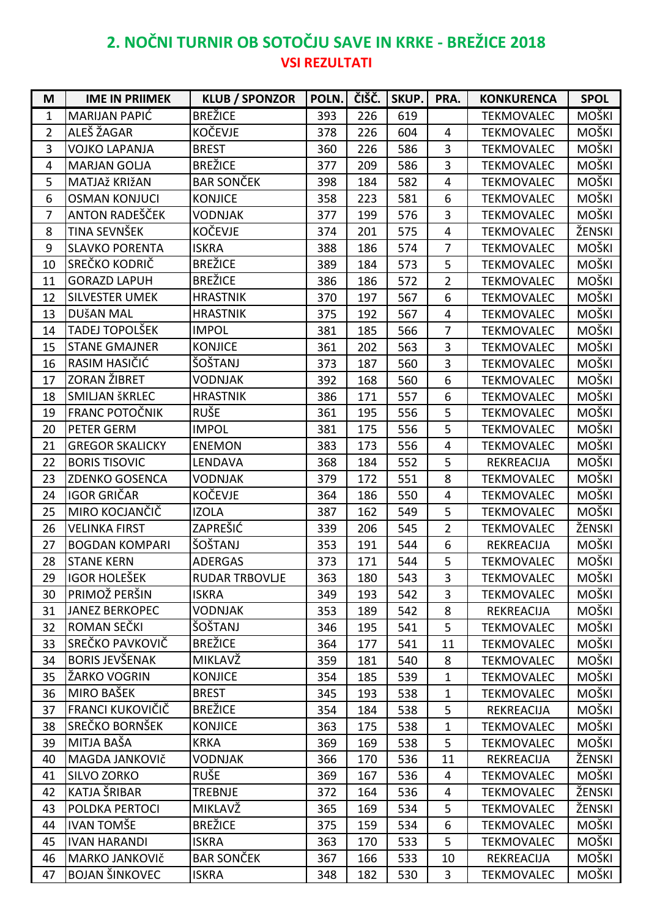## **2. NOČNI TURNIR OB SOTOČJU SAVE IN KRKE - BREŽICE 2018 VSI REZULTATI**

| M              | <b>IME IN PRIIMEK</b>  | <b>KLUB / SPONZOR</b> | POLN. |     | ČIŠČ. SKUP. | PRA.                    | <b>KONKURENCA</b> | <b>SPOL</b>  |
|----------------|------------------------|-----------------------|-------|-----|-------------|-------------------------|-------------------|--------------|
| $\mathbf{1}$   | MARIJAN PAPIĆ          | <b>BREŽICE</b>        | 393   | 226 | 619         |                         | <b>TEKMOVALEC</b> | MOŠKI        |
| $\overline{2}$ | ALEŠ ŽAGAR             | <b>KOČEVJE</b>        | 378   | 226 | 604         | $\overline{4}$          | <b>TEKMOVALEC</b> | <b>MOŠKI</b> |
| 3              | <b>VOJKO LAPANJA</b>   | <b>BREST</b>          | 360   | 226 | 586         | 3                       | <b>TEKMOVALEC</b> | MOŠKI        |
| 4              | <b>MARJAN GOLJA</b>    | <b>BREŽICE</b>        | 377   | 209 | 586         | 3                       | <b>TEKMOVALEC</b> | MOŠKI        |
| 5              | MATJAž KRIžAN          | <b>BAR SONČEK</b>     | 398   | 184 | 582         | $\overline{4}$          | <b>TEKMOVALEC</b> | <b>MOŠKI</b> |
| 6              | <b>OSMAN KONJUCI</b>   | <b>KONJICE</b>        | 358   | 223 | 581         | 6                       | <b>TEKMOVALEC</b> | MOŠKI        |
| $\overline{7}$ | ANTON RADEŠČEK         | <b>VODNJAK</b>        | 377   | 199 | 576         | 3                       | <b>TEKMOVALEC</b> | MOŠKI        |
| 8              | TINA SEVNŠEK           | KOČEVJE               | 374   | 201 | 575         | $\overline{4}$          | <b>TEKMOVALEC</b> | ŽENSKI       |
| 9              | <b>SLAVKO PORENTA</b>  | <b>ISKRA</b>          | 388   | 186 | 574         | 7                       | <b>TEKMOVALEC</b> | MOŠKI        |
| 10             | SREČKO KODRIČ          | <b>BREŽICE</b>        | 389   | 184 | 573         | 5                       | <b>TEKMOVALEC</b> | MOŠKI        |
| 11             | <b>GORAZD LAPUH</b>    | <b>BREŽICE</b>        | 386   | 186 | 572         | $\overline{2}$          | <b>TEKMOVALEC</b> | MOŠKI        |
| 12             | <b>SILVESTER UMEK</b>  | <b>HRASTNIK</b>       | 370   | 197 | 567         | 6                       | <b>TEKMOVALEC</b> | MOŠKI        |
| 13             | <b>DUŠAN MAL</b>       | <b>HRASTNIK</b>       | 375   | 192 | 567         | $\overline{4}$          | <b>TEKMOVALEC</b> | MOŠKI        |
| 14             | TADEJ TOPOLŠEK         | <b>IMPOL</b>          | 381   | 185 | 566         | $\overline{7}$          | <b>TEKMOVALEC</b> | <b>MOŠKI</b> |
| 15             | <b>STANE GMAJNER</b>   | <b>KONJICE</b>        | 361   | 202 | 563         | 3                       | <b>TEKMOVALEC</b> | MOŠKI        |
| 16             | RASIM HASIČIĆ          | ŠOŠTANJ               | 373   | 187 | 560         | 3                       | <b>TEKMOVALEC</b> | MOŠKI        |
| 17             | ZORAN ŽIBRET           | <b>VODNJAK</b>        | 392   | 168 | 560         | 6                       | <b>TEKMOVALEC</b> | MOŠKI        |
| 18             | <b>SMILJAN ŠKRLEC</b>  | <b>HRASTNIK</b>       | 386   | 171 | 557         | 6                       | <b>TEKMOVALEC</b> | <b>MOŠKI</b> |
| 19             | FRANC POTOČNIK         | <b>RUŠE</b>           | 361   | 195 | 556         | 5                       | <b>TEKMOVALEC</b> | MOŠKI        |
| 20             | PETER GERM             | <b>IMPOL</b>          | 381   | 175 | 556         | 5                       | <b>TEKMOVALEC</b> | MOŠKI        |
| 21             | <b>GREGOR SKALICKY</b> | <b>ENEMON</b>         | 383   | 173 | 556         | $\overline{4}$          | <b>TEKMOVALEC</b> | MOŠKI        |
| 22             | <b>BORIS TISOVIC</b>   | LENDAVA               | 368   | 184 | 552         | 5                       | REKREACIJA        | MOŠKI        |
| 23             | <b>ZDENKO GOSENCA</b>  | <b>VODNJAK</b>        | 379   | 172 | 551         | 8                       | <b>TEKMOVALEC</b> | MOŠKI        |
| 24             | <b>IGOR GRIČAR</b>     | <b>KOČEVJE</b>        | 364   | 186 | 550         | $\overline{4}$          | <b>TEKMOVALEC</b> | MOŠKI        |
| 25             | MIRO KOCJANČIČ         | <b>IZOLA</b>          | 387   | 162 | 549         | 5                       | <b>TEKMOVALEC</b> | MOŠKI        |
| 26             | <b>VELINKA FIRST</b>   | ZAPREŠIĆ              | 339   | 206 | 545         | $\overline{2}$          | <b>TEKMOVALEC</b> | ŽENSKI       |
| 27             | <b>BOGDAN KOMPARI</b>  | ŠOŠTANJ               | 353   | 191 | 544         | 6                       | REKREACIJA        | MOŠKI        |
| 28             | <b>STANE KERN</b>      | <b>ADERGAS</b>        | 373   | 171 | 544         | 5                       | <b>TEKMOVALEC</b> | MOŠKI        |
| 29             | <b>IGOR HOLEŠEK</b>    | <b>RUDAR TRBOVLJE</b> | 363   | 180 | 543         | $\overline{\mathbf{3}}$ | TEKMOVALEC        | MOŠKI        |
| 30             | PRIMOŽ PERŠIN          | <b>ISKRA</b>          | 349   | 193 | 542         | 3                       | <b>TEKMOVALEC</b> | MOŠKI        |
| 31             | <b>JANEZ BERKOPEC</b>  | <b>VODNJAK</b>        | 353   | 189 | 542         | 8                       | REKREACIJA        | MOŠKI        |
| 32             | ROMAN SEČKI            | ŠOŠTANJ               | 346   | 195 | 541         | 5                       | <b>TEKMOVALEC</b> | MOŠKI        |
| 33             | SREČKO PAVKOVIČ        | <b>BREŽICE</b>        | 364   | 177 | 541         | 11                      | <b>TEKMOVALEC</b> | MOŠKI        |
| 34             | <b>BORIS JEVŠENAK</b>  | MIKLAVŽ               | 359   | 181 | 540         | 8                       | <b>TEKMOVALEC</b> | MOŠKI        |
| 35             | ŽARKO VOGRIN           | <b>KONJICE</b>        | 354   | 185 | 539         | $\mathbf{1}$            | <b>TEKMOVALEC</b> | MOŠKI        |
| 36             | MIRO BAŠEK             | <b>BREST</b>          | 345   | 193 | 538         | $\mathbf{1}$            | <b>TEKMOVALEC</b> | MOŠKI        |
| 37             | FRANCI KUKOVIČIČ       | <b>BREŽICE</b>        | 354   | 184 | 538         | 5                       | REKREACIJA        | MOŠKI        |
| 38             | SREČKO BORNŠEK         | <b>KONJICE</b>        | 363   | 175 | 538         | $\mathbf{1}$            | <b>TEKMOVALEC</b> | MOŠKI        |
| 39             | MITJA BAŠA             | <b>KRKA</b>           | 369   | 169 | 538         | 5                       | <b>TEKMOVALEC</b> | <b>MOŠKI</b> |
| 40             | MAGDA JANKOVIČ         | <b>VODNJAK</b>        | 366   | 170 | 536         | 11                      | REKREACIJA        | ŽENSKI       |
| 41             | SILVO ZORKO            | <b>RUŠE</b>           | 369   | 167 | 536         | $\overline{4}$          | <b>TEKMOVALEC</b> | MOŠKI        |
| 42             | KATJA ŠRIBAR           | <b>TREBNJE</b>        | 372   | 164 | 536         | 4                       | <b>TEKMOVALEC</b> | ŽENSKI       |
| 43             | POLDKA PERTOCI         | MIKLAVŽ               | 365   | 169 | 534         | 5                       | <b>TEKMOVALEC</b> | ŽENSKI       |
| 44             | <b>IVAN TOMŠE</b>      | <b>BREŽICE</b>        | 375   | 159 | 534         | 6                       | <b>TEKMOVALEC</b> | MOŠKI        |
| 45             | <b>IVAN HARANDI</b>    | <b>ISKRA</b>          | 363   | 170 | 533         | 5                       | <b>TEKMOVALEC</b> | <b>MOŠKI</b> |
| 46             | MARKO JANKOVIČ         | <b>BAR SONČEK</b>     | 367   | 166 | 533         | 10                      | REKREACIJA        | MOŠKI        |
| 47             | <b>BOJAN ŠINKOVEC</b>  | <b>ISKRA</b>          | 348   | 182 | 530         | $\mathbf{3}$            | <b>TEKMOVALEC</b> | MOŠKI        |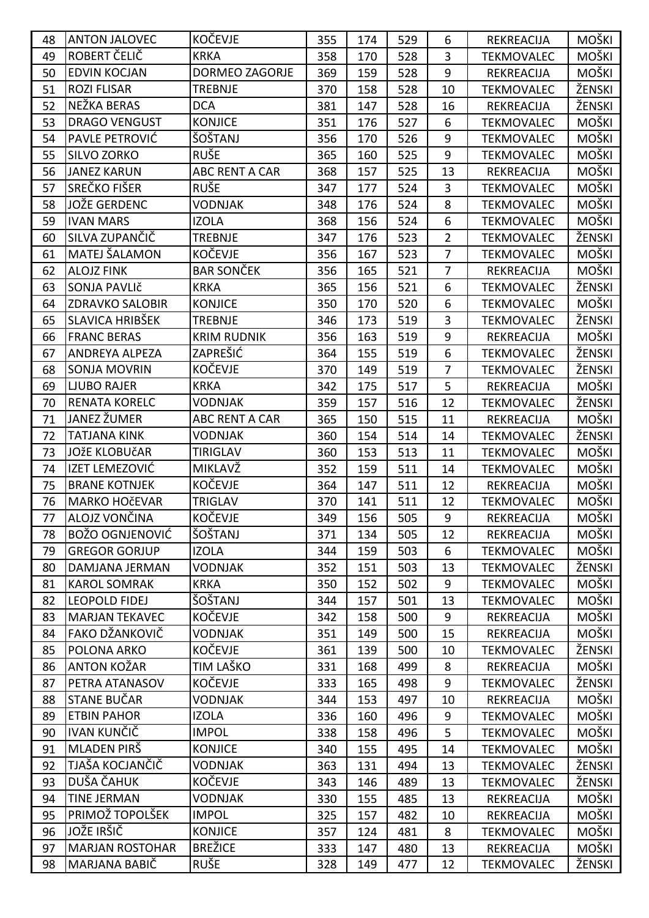| 48 | <b>ANTON JALOVEC</b>   | <b>KOČEVJE</b>        | 355 | 174 | 529 | 6              | REKREACIJA        | <b>MOŠKI</b> |
|----|------------------------|-----------------------|-----|-----|-----|----------------|-------------------|--------------|
| 49 | ROBERT ČELIČ           | <b>KRKA</b>           | 358 | 170 | 528 | 3              | <b>TEKMOVALEC</b> | MOŠKI        |
| 50 | <b>EDVIN KOCJAN</b>    | DORMEO ZAGORJE        | 369 | 159 | 528 | 9              | REKREACIJA        | MOŠKI        |
| 51 | <b>ROZI FLISAR</b>     | <b>TREBNJE</b>        | 370 | 158 | 528 | 10             | <b>TEKMOVALEC</b> | ŽENSKI       |
| 52 | NEŽKA BERAS            | <b>DCA</b>            | 381 | 147 | 528 | 16             | REKREACIJA        | ŽENSKI       |
| 53 | <b>DRAGO VENGUST</b>   | <b>KONJICE</b>        | 351 | 176 | 527 | 6              | <b>TEKMOVALEC</b> | MOŠKI        |
| 54 | PAVLE PETROVIĆ         | ŠOŠTANJ               | 356 | 170 | 526 | 9              | <b>TEKMOVALEC</b> | MOŠKI        |
| 55 | SILVO ZORKO            | <b>RUŠE</b>           | 365 | 160 | 525 | 9              | <b>TEKMOVALEC</b> | MOŠKI        |
| 56 | <b>JANEZ KARUN</b>     | ABC RENT A CAR        | 368 | 157 | 525 | 13             | REKREACIJA        | MOŠKI        |
| 57 | SREČKO FIŠER           | <b>RUŠE</b>           | 347 | 177 | 524 | 3              | <b>TEKMOVALEC</b> | <b>MOŠKI</b> |
| 58 | JOŽE GERDENC           | <b>VODNJAK</b>        | 348 | 176 | 524 | 8              | <b>TEKMOVALEC</b> | MOŠKI        |
| 59 | <b>IVAN MARS</b>       | <b>IZOLA</b>          | 368 | 156 | 524 | 6              | <b>TEKMOVALEC</b> | MOŠKI        |
| 60 | SILVA ZUPANČIČ         | <b>TREBNJE</b>        | 347 | 176 | 523 | $\overline{2}$ | <b>TEKMOVALEC</b> | ŽENSKI       |
| 61 | MATEJ ŠALAMON          | KOČEVJE               | 356 | 167 | 523 | $\overline{7}$ | <b>TEKMOVALEC</b> | MOŠKI        |
| 62 | <b>ALOJZ FINK</b>      | <b>BAR SONČEK</b>     | 356 | 165 | 521 | $\overline{7}$ | REKREACIJA        | <b>MOŠKI</b> |
| 63 | SONJA PAVLIč           | <b>KRKA</b>           | 365 | 156 | 521 | 6              | <b>TEKMOVALEC</b> | ŽENSKI       |
| 64 | <b>ZDRAVKO SALOBIR</b> | <b>KONJICE</b>        | 350 | 170 | 520 | 6              | <b>TEKMOVALEC</b> | MOŠKI        |
| 65 | SLAVICA HRIBŠEK        | <b>TREBNJE</b>        | 346 | 173 | 519 | 3              | <b>TEKMOVALEC</b> | ŽENSKI       |
| 66 | <b>FRANC BERAS</b>     | <b>KRIM RUDNIK</b>    | 356 | 163 | 519 | 9              | REKREACIJA        | <b>MOŠKI</b> |
| 67 | ANDREYA ALPEZA         | ZAPREŠIĆ              | 364 | 155 | 519 | 6              | <b>TEKMOVALEC</b> | ŽENSKI       |
| 68 | <b>SONJA MOVRIN</b>    | <b>KOČEVJE</b>        | 370 | 149 | 519 | $\overline{7}$ | <b>TEKMOVALEC</b> | ŽENSKI       |
| 69 | <b>LJUBO RAJER</b>     | <b>KRKA</b>           | 342 | 175 | 517 | 5              | REKREACIJA        | MOŠKI        |
| 70 | <b>RENATA KORELC</b>   | <b>VODNJAK</b>        | 359 | 157 | 516 | 12             | <b>TEKMOVALEC</b> | ŽENSKI       |
| 71 | JANEZ ŽUMER            | <b>ABC RENT A CAR</b> | 365 | 150 | 515 | 11             | REKREACIJA        | MOŠKI        |
| 72 | <b>TATJANA KINK</b>    | <b>VODNJAK</b>        | 360 | 154 | 514 | 14             | <b>TEKMOVALEC</b> | ŽENSKI       |
| 73 | <b>JOŽE KLOBUČAR</b>   | <b>TIRIGLAV</b>       | 360 | 153 | 513 | 11             | <b>TEKMOVALEC</b> | MOŠKI        |
| 74 | IZET LEMEZOVIĆ         | MIKLAVŽ               | 352 | 159 | 511 | 14             | <b>TEKMOVALEC</b> | MOŠKI        |
| 75 | <b>BRANE KOTNJEK</b>   | <b>KOČEVJE</b>        | 364 | 147 | 511 | 12             | REKREACIJA        | MOŠKI        |
| 76 | <b>MARKO HOČEVAR</b>   | <b>TRIGLAV</b>        | 370 | 141 | 511 | 12             | <b>TEKMOVALEC</b> | MOŠKI        |
| 77 | ALOJZ VONČINA          | KOČEVJE               | 349 | 156 | 505 | 9              | REKREACIJA        | MOŠKI        |
| 78 | <b>BOŽO OGNJENOVIĆ</b> | ŠOŠTANJ               | 371 | 134 | 505 | 12             | REKREACIJA        | MOŠKI        |
| 79 | <b>GREGOR GORJUP</b>   | <b>IZOLA</b>          | 344 | 159 | 503 | 6              | <b>TEKMOVALEC</b> | MOŠKI        |
| 80 | DAMJANA JERMAN         | <b>VODNJAK</b>        | 352 | 151 | 503 | 13             | <b>TEKMOVALEC</b> | ŽENSKI       |
| 81 | <b>KAROL SOMRAK</b>    | <b>KRKA</b>           | 350 | 152 | 502 | 9              | <b>TEKMOVALEC</b> | MOŠKI        |
| 82 | <b>LEOPOLD FIDEJ</b>   | ŠOŠTANJ               | 344 | 157 | 501 | 13             | <b>TEKMOVALEC</b> | MOŠKI        |
| 83 | <b>MARJAN TEKAVEC</b>  | <b>KOČEVJE</b>        | 342 | 158 | 500 | 9              | REKREACIJA        | MOŠKI        |
| 84 | FAKO DŽANKOVIČ         | <b>VODNJAK</b>        | 351 | 149 | 500 | 15             | REKREACIJA        | MOŠKI        |
| 85 | POLONA ARKO            | <b>KOČEVJE</b>        | 361 | 139 | 500 | 10             | <b>TEKMOVALEC</b> | ŽENSKI       |
| 86 | ANTON KOŽAR            | TIM LAŠKO             | 331 | 168 | 499 | 8              | REKREACIJA        | <b>MOŠKI</b> |
| 87 | PETRA ATANASOV         | KOČEVJE               | 333 | 165 | 498 | 9              | <b>TEKMOVALEC</b> | ŽENSKI       |
| 88 | STANE BUČAR            | <b>VODNJAK</b>        | 344 | 153 | 497 | 10             | REKREACIJA        | MOŠKI        |
| 89 | <b>ETBIN PAHOR</b>     | <b>IZOLA</b>          | 336 | 160 | 496 | 9              | <b>TEKMOVALEC</b> | MOŠKI        |
| 90 | IVAN KUNČIČ            | <b>IMPOL</b>          | 338 | 158 | 496 | 5              | <b>TEKMOVALEC</b> | MOŠKI        |
| 91 | MLADEN PIRŠ            | <b>KONJICE</b>        | 340 | 155 | 495 | 14             | <b>TEKMOVALEC</b> | MOŠKI        |
| 92 | TJAŠA KOCJANČIČ        | <b>VODNJAK</b>        | 363 | 131 | 494 | 13             | <b>TEKMOVALEC</b> | ŽENSKI       |
| 93 | DUŠA ČAHUK             | KOČEVJE               | 343 | 146 | 489 | 13             | <b>TEKMOVALEC</b> | ŽENSKI       |
| 94 | <b>TINE JERMAN</b>     | <b>VODNJAK</b>        | 330 | 155 | 485 | 13             | REKREACIJA        | MOŠKI        |
| 95 | PRIMOŽ TOPOLŠEK        | <b>IMPOL</b>          | 325 | 157 | 482 | 10             | REKREACIJA        | MOŠKI        |
| 96 | JOŽE IRŠIČ             | <b>KONJICE</b>        | 357 | 124 | 481 | 8              | <b>TEKMOVALEC</b> | <b>MOŠKI</b> |
| 97 | <b>MARJAN ROSTOHAR</b> | <b>BREŽICE</b>        | 333 | 147 | 480 | 13             | REKREACIJA        | <b>MOŠKI</b> |
| 98 | MARJANA BABIČ          | <b>RUŠE</b>           | 328 | 149 | 477 | 12             | <b>TEKMOVALEC</b> | ŽENSKI       |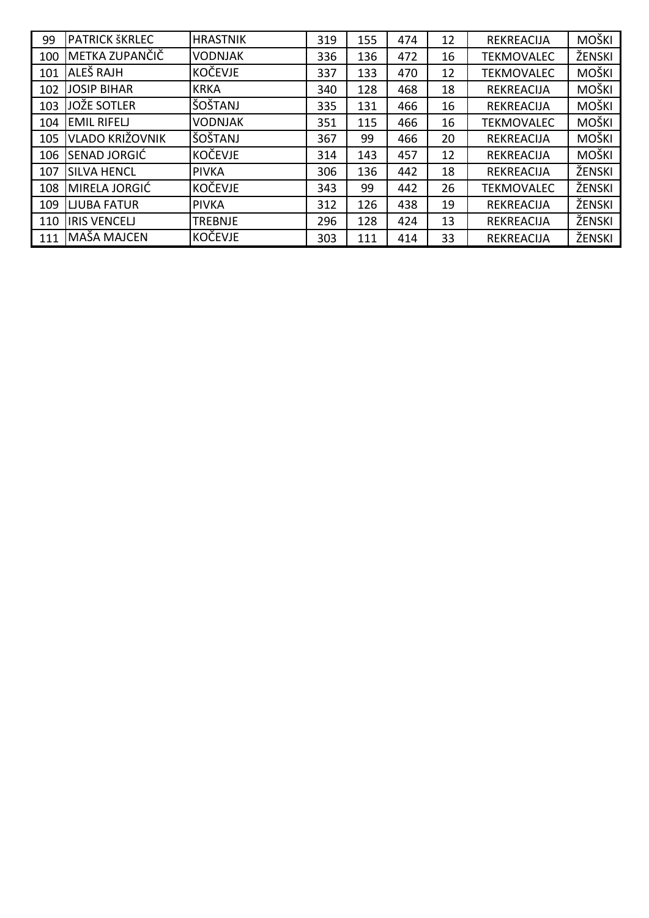| 99  | <b>PATRICK ŠKRLEC</b> | <b>HRASTNIK</b> | 319 | 155 | 474 | 12 | <b>REKREACIJA</b> | <b>MOŠKI</b> |
|-----|-----------------------|-----------------|-----|-----|-----|----|-------------------|--------------|
| 100 | IMETKA ZUPANČIČ       | <b>VODNJAK</b>  | 336 | 136 | 472 | 16 | <b>TEKMOVALEC</b> | ŽENSKI       |
| 101 | ALEŠ RAJH             | <b>KOČEVJE</b>  | 337 | 133 | 470 | 12 | <b>TEKMOVALEC</b> | MOŠKI        |
| 102 | <b>JOSIP BIHAR</b>    | <b>KRKA</b>     | 340 | 128 | 468 | 18 | <b>REKREACIJA</b> | MOŠKI        |
| 103 | <b>JOŽE SOTLER</b>    | ŠOŠTANJ         | 335 | 131 | 466 | 16 | <b>REKREACIJA</b> | <b>MOŠKI</b> |
| 104 | <b>EMIL RIFELJ</b>    | <b>VODNJAK</b>  | 351 | 115 | 466 | 16 | <b>TEKMOVALEC</b> | <b>MOŠKI</b> |
| 105 | VLADO KRIŽOVNIK       | ŠOŠTANJ         | 367 | 99  | 466 | 20 | <b>REKREACIJA</b> | MOŠKI        |
| 106 | <b>SENAD JORGIĆ</b>   | KOČEVJE         | 314 | 143 | 457 | 12 | <b>REKREACIJA</b> | <b>MOŠKI</b> |
| 107 | <b>SILVA HENCL</b>    | <b>PIVKA</b>    | 306 | 136 | 442 | 18 | <b>REKREACIJA</b> | ŽENSKI       |
| 108 | MIRELA JORGIĆ         | KOČEVJE         | 343 | 99  | 442 | 26 | <b>TEKMOVALEC</b> | ŽENSKI       |
| 109 | <b>LJUBA FATUR</b>    | <b>PIVKA</b>    | 312 | 126 | 438 | 19 | <b>REKREACIJA</b> | ŽENSKI       |
| 110 | <b>IRIS VENCELJ</b>   | <b>TREBNJE</b>  | 296 | 128 | 424 | 13 | <b>REKREACIJA</b> | ŽENSKI       |
| 111 | MAŠA MAJCEN           | <b>KOČEVJE</b>  | 303 | 111 | 414 | 33 | <b>REKREACIJA</b> | ŽENSKI       |